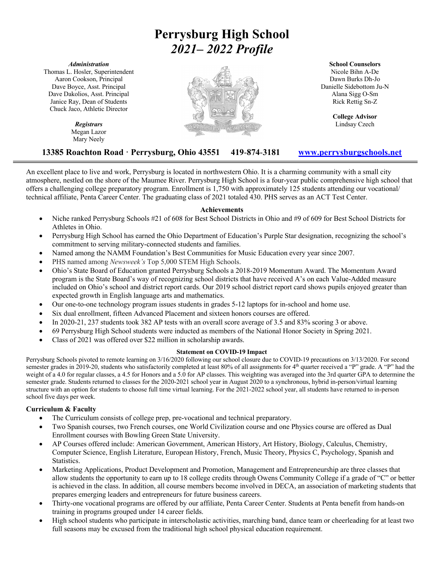# **Perrysburg High School** *2021– 2022 Profile*

#### *Administration*

Thomas L. Hosler, Superintendent Aaron Cookson, Principal Dave Boyce, Asst. Principal Dave Dakolios, Asst. Principal Janice Ray, Dean of Students Chuck Jaco, Athletic Director

> *Registrars* Megan Lazor Mary Neely



#### **School Counselors**

Nicole Bihn A-De Dawn Burks Dh-Jo Danielle Sidebottom Ju-N Alana Sigg O-Sm Rick Rettig Sn-Z

> **College Advisor** Lindsay Czech

## **13385 Roachton Road · Perrysburg, Ohio 43551 419**-**874**-**<sup>3181</sup> www.perrysburgschools.net**

An excellent place to live and work, Perrysburg is located in northwestern Ohio. It is a charming community with a small city atmosphere, nestled on the shore of the Maumee River. Perrysburg High School is a four-year public comprehensive high school that offers a challenging college preparatory program. Enrollment is 1,750 with approximately 125 students attending our vocational/ technical affiliate, Penta Career Center. The graduating class of 2021 totaled 430. PHS serves as an ACT Test Center.

## **Achievements**

- Niche ranked Perrysburg Schools #21 of 608 for Best School Districts in Ohio and #9 of 609 for Best School Districts for Athletes in Ohio.
- Perrysburg High School has earned the Ohio Department of Education's Purple Star designation, recognizing the school's commitment to serving military-connected students and families.
- Named among the NAMM Foundation's Best Communities for Music Education every year since 2007.
- PHS named among *Newsweek's* Top 5,000 STEM High Schools.
- Ohio's State Board of Education granted Perrysburg Schools a 2018-2019 Momentum Award. The Momentum Award program is the State Board's way of recognizing school districts that have received A's on each Value-Added measure included on Ohio's school and district report cards. Our 2019 school district report card shows pupils enjoyed greater than expected growth in English language arts and mathematics.
- Our one-to-one technology program issues students in grades 5-12 laptops for in-school and home use.
- Six dual enrollment, fifteen Advanced Placement and sixteen honors courses are offered.
- In 2020-21, 237 students took 382 AP tests with an overall score average of 3.5 and 83% scoring 3 or above.
- 69 Perrysburg High School students were inducted as members of the National Honor Society in Spring 2021.
- Class of 2021 was offered over \$22 million in scholarship awards.

### **Statement on COVID-19 Impact**

Perrysburg Schools pivoted to remote learning on 3/16/2020 following our school closure due to COVID-19 precautions on 3/13/2020. For second semester grades in 2019-20, students who satisfactorily completed at least 80% of all assignments for 4<sup>th</sup> quarter received a "P" grade. A "P" had the weight of a 4.0 for regular classes, a 4.5 for Honors and a 5.0 for AP classes. This weighting was averaged into the 3rd quarter GPA to determine the semester grade. Students returned to classes for the 2020-2021 school year in August 2020 to a synchronous, hybrid in-person/virtual learning structure with an option for students to choose full time virtual learning. For the 2021-2022 school year, all students have returned to in-person school five days per week.

### **Curriculum & Faculty**

- The Curriculum consists of college prep, pre-vocational and technical preparatory.
- Two Spanish courses, two French courses, one World Civilization course and one Physics course are offered as Dual Enrollment courses with Bowling Green State University.
- AP Courses offered include: American Government, American History, Art History, Biology, Calculus, Chemistry, Computer Science, English Literature, European History, French, Music Theory, Physics C, Psychology, Spanish and Statistics.
- Marketing Applications, Product Development and Promotion, Management and Entrepreneurship are three classes that allow students the opportunity to earn up to 18 college credits through Owens Community College if a grade of "C" or better is achieved in the class. In addition, all course members become involved in DECA, an association of marketing students that prepares emerging leaders and entrepreneurs for future business careers.
- Thirty-one vocational programs are offered by our affiliate, Penta Career Center. Students at Penta benefit from hands-on training in programs grouped under 14 career fields.
- High school students who participate in interscholastic activities, marching band, dance team or cheerleading for at least two full seasons may be excused from the traditional high school physical education requirement.